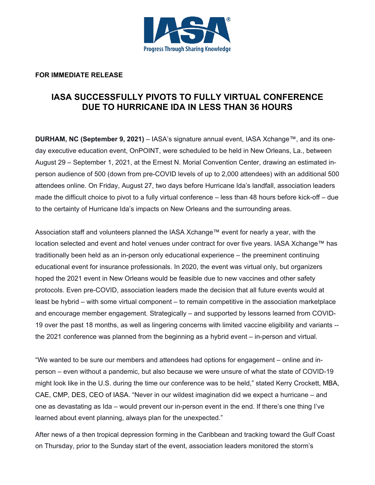

## **FOR IMMEDIATE RELEASE**

## **IASA SUCCESSFULLY PIVOTS TO FULLY VIRTUAL CONFERENCE DUE TO HURRICANE IDA IN LESS THAN 36 HOURS**

**DURHAM, NC (September 9, 2021)** – IASA's signature annual event, IASA Xchange™, and its oneday executive education event, OnPOINT, were scheduled to be held in New Orleans, La., between August 29 – September 1, 2021, at the Ernest N. Morial Convention Center, drawing an estimated inperson audience of 500 (down from pre-COVID levels of up to 2,000 attendees) with an additional 500 attendees online. On Friday, August 27, two days before Hurricane Ida's landfall, association leaders made the difficult choice to pivot to a fully virtual conference – less than 48 hours before kick-off – due to the certainty of Hurricane Ida's impacts on New Orleans and the surrounding areas.

Association staff and volunteers planned the IASA Xchange™ event for nearly a year, with the location selected and event and hotel venues under contract for over five years. IASA Xchange™ has traditionally been held as an in-person only educational experience – the preeminent continuing educational event for insurance professionals. In 2020, the event was virtual only, but organizers hoped the 2021 event in New Orleans would be feasible due to new vaccines and other safety protocols. Even pre-COVID, association leaders made the decision that all future events would at least be hybrid – with some virtual component – to remain competitive in the association marketplace and encourage member engagement. Strategically – and supported by lessons learned from COVID-19 over the past 18 months, as well as lingering concerns with limited vaccine eligibility and variants - the 2021 conference was planned from the beginning as a hybrid event – in-person and virtual.

"We wanted to be sure our members and attendees had options for engagement – online and inperson – even without a pandemic, but also because we were unsure of what the state of COVID-19 might look like in the U.S. during the time our conference was to be held," stated Kerry Crockett, MBA, CAE, CMP, DES, CEO of IASA. "Never in our wildest imagination did we expect a hurricane – and one as devastating as Ida – would prevent our in-person event in the end. If there's one thing I've learned about event planning, always plan for the unexpected."

After news of a then tropical depression forming in the Caribbean and tracking toward the Gulf Coast on Thursday, prior to the Sunday start of the event, association leaders monitored the storm's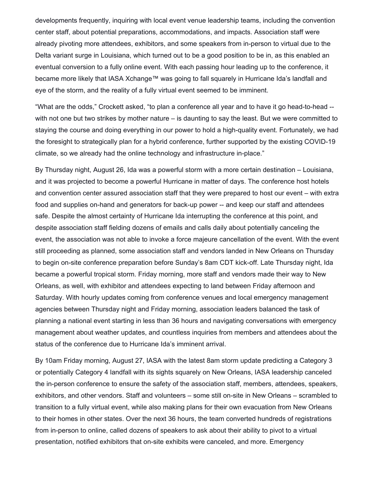developments frequently, inquiring with local event venue leadership teams, including the convention center staff, about potential preparations, accommodations, and impacts. Association staff were already pivoting more attendees, exhibitors, and some speakers from in-person to virtual due to the Delta variant surge in Louisiana, which turned out to be a good position to be in, as this enabled an eventual conversion to a fully online event. With each passing hour leading up to the conference, it became more likely that IASA Xchange™ was going to fall squarely in Hurricane Ida's landfall and eye of the storm, and the reality of a fully virtual event seemed to be imminent.

"What are the odds," Crockett asked, "to plan a conference all year and to have it go head-to-head - with not one but two strikes by mother nature – is daunting to say the least. But we were committed to staying the course and doing everything in our power to hold a high-quality event. Fortunately, we had the foresight to strategically plan for a hybrid conference, further supported by the existing COVID-19 climate, so we already had the online technology and infrastructure in-place."

By Thursday night, August 26, Ida was a powerful storm with a more certain destination – Louisiana, and it was projected to become a powerful Hurricane in matter of days. The conference host hotels and convention center assured association staff that they were prepared to host our event – with extra food and supplies on-hand and generators for back-up power -- and keep our staff and attendees safe. Despite the almost certainty of Hurricane Ida interrupting the conference at this point, and despite association staff fielding dozens of emails and calls daily about potentially canceling the event, the association was not able to invoke a force majeure cancellation of the event. With the event still proceeding as planned, some association staff and vendors landed in New Orleans on Thursday to begin on-site conference preparation before Sunday's 8am CDT kick-off. Late Thursday night, Ida became a powerful tropical storm. Friday morning, more staff and vendors made their way to New Orleans, as well, with exhibitor and attendees expecting to land between Friday afternoon and Saturday. With hourly updates coming from conference venues and local emergency management agencies between Thursday night and Friday morning, association leaders balanced the task of planning a national event starting in less than 36 hours and navigating conversations with emergency management about weather updates, and countless inquiries from members and attendees about the status of the conference due to Hurricane Ida's imminent arrival.

By 10am Friday morning, August 27, IASA with the latest 8am storm update predicting a Category 3 or potentially Category 4 landfall with its sights squarely on New Orleans, IASA leadership canceled the in-person conference to ensure the safety of the association staff, members, attendees, speakers, exhibitors, and other vendors. Staff and volunteers – some still on-site in New Orleans – scrambled to transition to a fully virtual event, while also making plans for their own evacuation from New Orleans to their homes in other states. Over the next 36 hours, the team converted hundreds of registrations from in-person to online, called dozens of speakers to ask about their ability to pivot to a virtual presentation, notified exhibitors that on-site exhibits were canceled, and more. Emergency